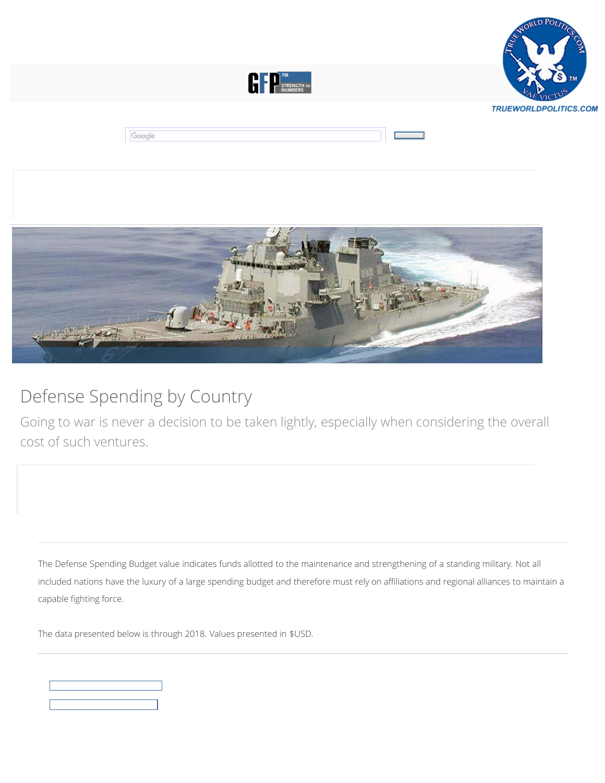





## Defense Spending by Country

[Going to war is never a decision to be taken lightly, especially when considering the overall](https://www.globalfirepower.com/defense-spending-budget.asp) cost of such ventures.

The Defense Spending Budget value indicates funds allotted to the maintenance and strengthening of a standing military. Not all included nations have the luxury of a large spending budget and therefore must rely on affiliations and regional alliances to maintain a capable fighting force.

The data presented below is through 2018. Values presented in \$USD.

|  | <u> The Common Section of the Common Section of the Common Section of the Common Section of the Common Section of</u> |  |
|--|-----------------------------------------------------------------------------------------------------------------------|--|
|  |                                                                                                                       |  |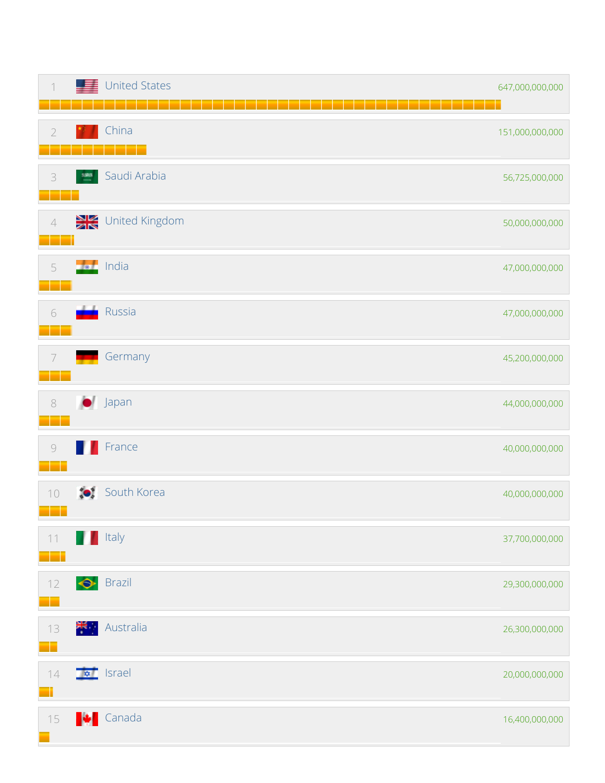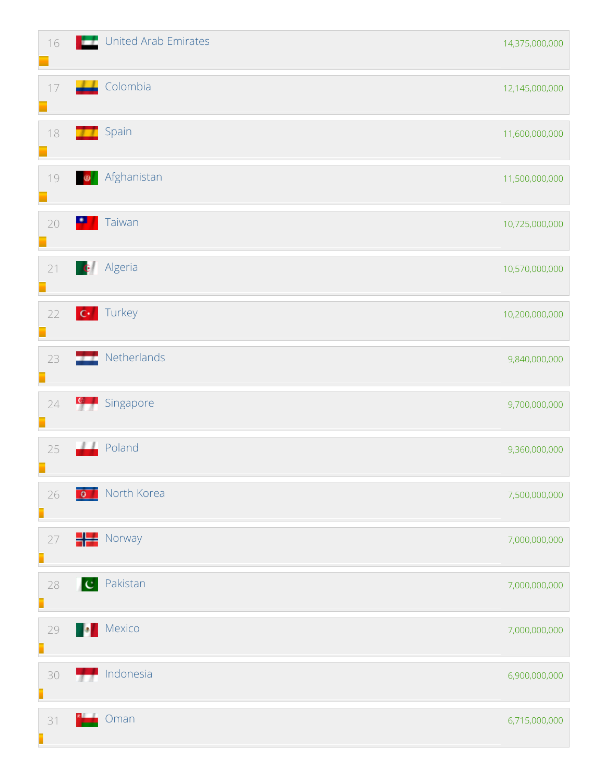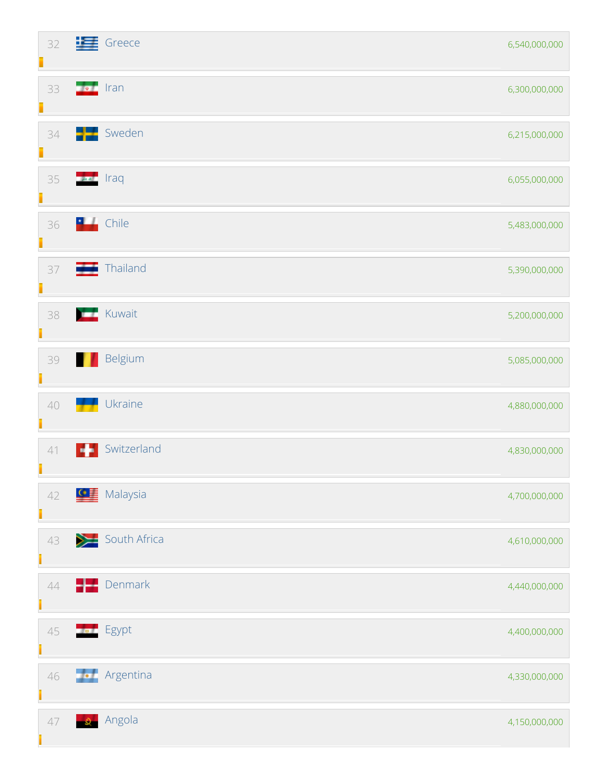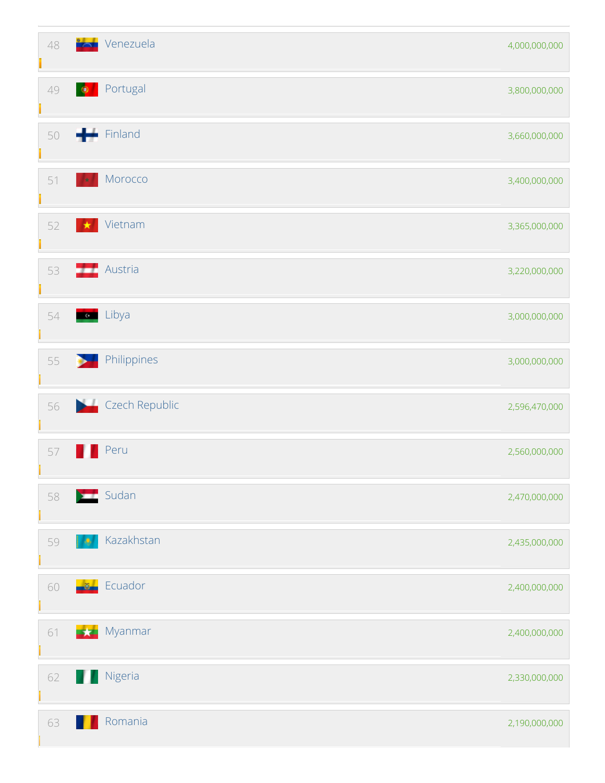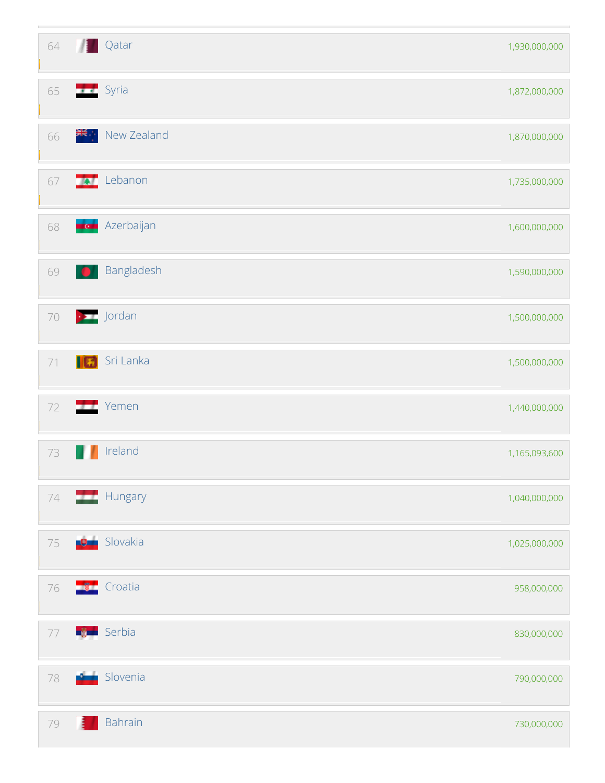| 64     | Л         | <b>Qatar</b>         | 1,930,000,000 |
|--------|-----------|----------------------|---------------|
| 65     |           | <b>Syria</b>         | 1,872,000,000 |
| 66     | ≱∉়       | New Zealand          | 1,870,000,000 |
| 67     |           | <b>A</b> Lebanon     | 1,735,000,000 |
| 68     | ut an     | Azerbaijan           | 1,600,000,000 |
| 69     | <b>DA</b> | Bangladesh           | 1,590,000,000 |
| $70\,$ |           | $\rightarrow$ Jordan | 1,500,000,000 |
| $71$   | IØ        | Sri Lanka            | 1,500,000,000 |
| 72     |           | Yemen                | 1,440,000,000 |
| 73     |           | Ireland              | 1,165,093,600 |
| $74\,$ |           | Hungary              | 1,040,000,000 |
| 75     |           | <b>D</b> Slovakia    | 1,025,000,000 |
| 76     |           | <b>The Croatia</b>   | 958,000,000   |
| $77\,$ |           | <b>Red</b> Serbia    | 830,000,000   |
| 78     | فستد      | Slovenia             | 790,000,000   |
| 79     |           | Bahrain              | 730,000,000   |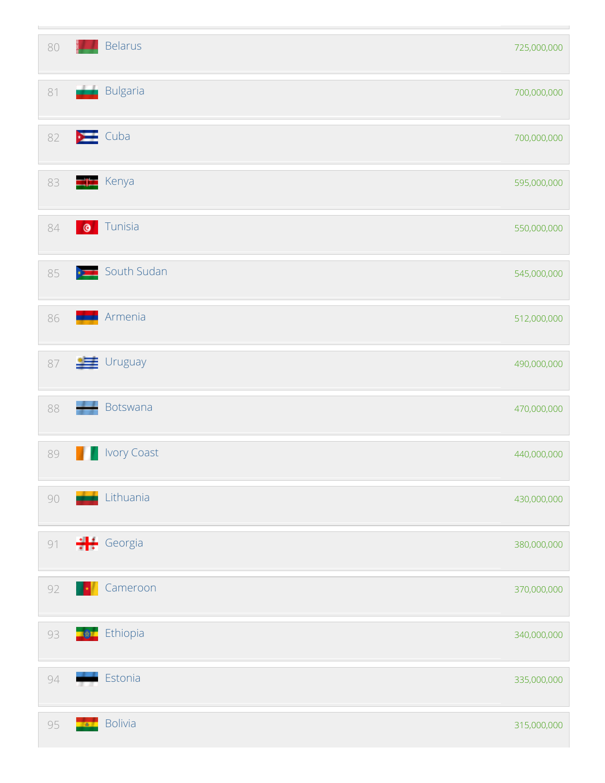| 80     |              | <b>Belarus</b>     | 725,000,000 |
|--------|--------------|--------------------|-------------|
| $81\,$ | اشتر         | Bulgaria           | 700,000,000 |
| 82     |              | $\sum$ Cuba        | 700,000,000 |
| 83     |              | <b>Kenya</b>       | 595,000,000 |
| 84     | $\bullet$    | Tunisia            | 550,000,000 |
| 85     |              | South Sudan        | 545,000,000 |
| 86     |              | Armenia            | 512,000,000 |
| 87     |              | $\equiv$ Uruguay   | 490,000,000 |
| 88     |              | Botswana           | 470,000,000 |
| 89     |              | <b>Ivory Coast</b> | 440,000,000 |
| $90\,$ |              | Lithuania          | 430,000,000 |
| $91$   |              | $\div$ Georgia     | 380,000,000 |
| 92     | - 1          | Cameroon           | 370,000,000 |
| 93     | ■変】          | Ethiopia           | 340,000,000 |
| 94     |              | Estonia            | 335,000,000 |
| 95     | <b>100 m</b> | <b>Bolivia</b>     | 315,000,000 |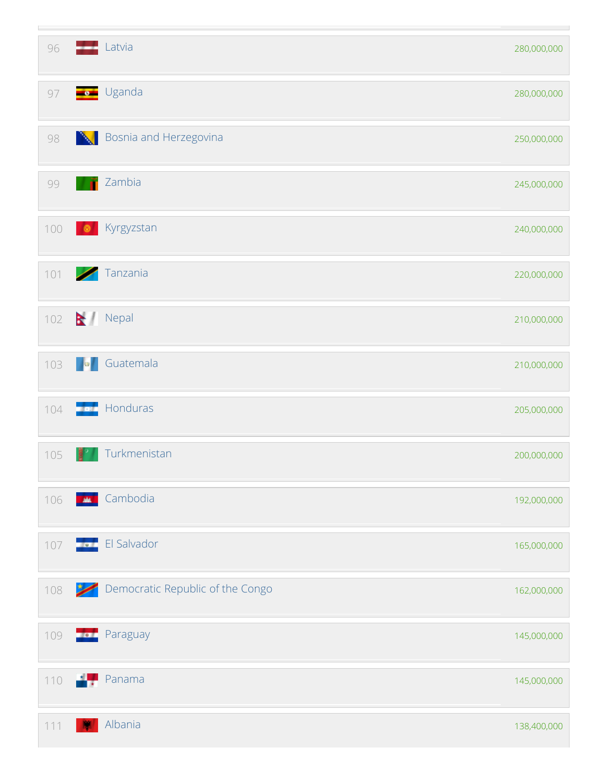| 96  |             | Latvia                           | 280,000,000 |
|-----|-------------|----------------------------------|-------------|
| 97  |             | s Uganda                         | 280,000,000 |
| 98  | N           | Bosnia and Herzegovina           | 250,000,000 |
| 99  | ñ           | Zambia                           | 245,000,000 |
| 100 | $\bullet$   | Kyrgyzstan                       | 240,000,000 |
| 101 | ╱           | Tanzania                         | 220,000,000 |
| 102 |             | Nepal                            | 210,000,000 |
| 103 |             | <b>ON</b> Guatemala              | 210,000,000 |
| 104 | <b>BOOK</b> | Honduras                         | 205,000,000 |
| 105 |             | Turkmenistan                     | 200,000,000 |
| 106 |             | <b>M</b> Cambodia                | 192,000,000 |
| 107 |             | <b>El Salvador</b>               | 165,000,000 |
| 108 | /           | Democratic Republic of the Congo | 162,000,000 |
| 109 |             | <b>Paraguay</b>                  | 145,000,000 |
| 110 | <b>ALC</b>  | Panama                           | 145,000,000 |
| 111 |             | Albania                          | 138,400,000 |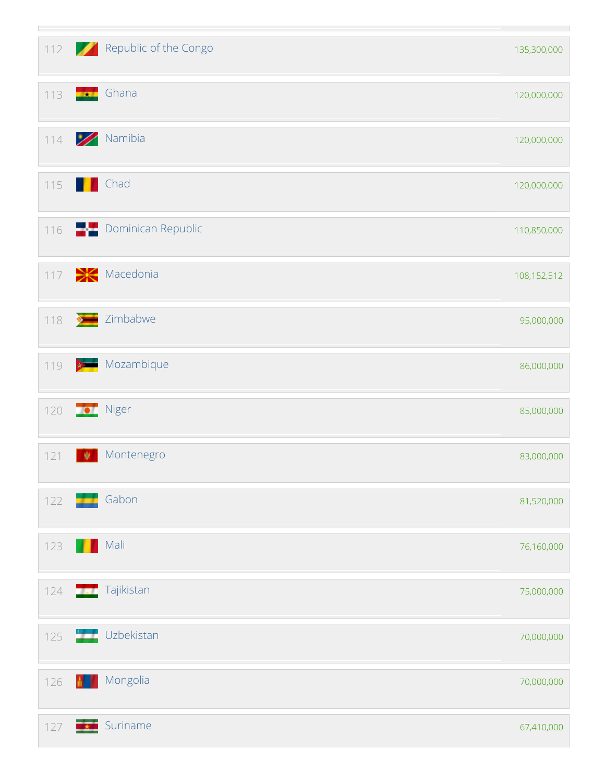| $112$ |                   | Republic of the Congo     | 135,300,000 |
|-------|-------------------|---------------------------|-------------|
| 113   |                   | Ghana                     | 120,000,000 |
| 114   |                   | Namibia                   | 120,000,000 |
| 115   |                   | Chad                      | 120,000,000 |
| 116   |                   | <b>Dominican Republic</b> | 110,850,000 |
| 117   |                   | $\geq$ Macedonia          | 108,152,512 |
| 118   |                   | <b>Example 2</b> imbabwe  | 95,000,000  |
| 119   | $x \rightarrow 0$ | Mozambique                | 86,000,000  |
| 120   |                   | Niger                     | 85,000,000  |
| 121   | 夔                 | Montenegro                | 83,000,000  |
| 122   |                   | <b>Gabon</b>              | 81,520,000  |
| 123   |                   | Mali                      | 76,160,000  |
| 124   |                   | <b>Tajikistan</b>         | 75,000,000  |
| 125   |                   | Uzbekistan                | 70,000,000  |
| 126   |                   | <b>Mongolia</b>           | 70,000,000  |
| 127   |                   | <b>Exam</b> Suriname      | 67,410,000  |

the control of the control of the control of the

L.